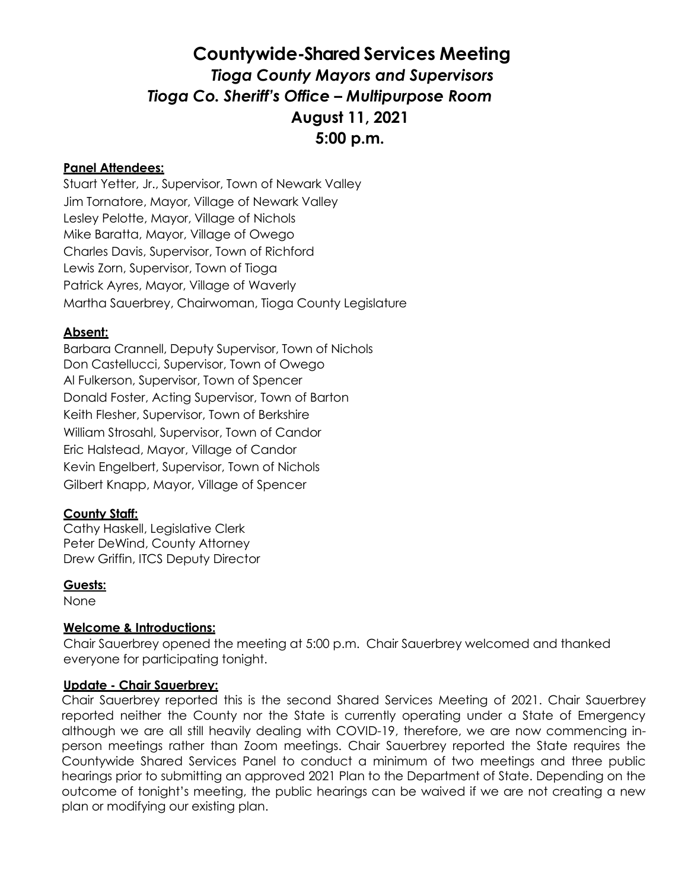# **Countywide-Shared Services Meeting**  *Tioga County Mayors and Supervisors Tioga Co. Sheriff's Office – Multipurpose Room*  **August 11, 2021 5:00 p.m.**

### **Panel Attendees:**

Stuart Yetter, Jr., Supervisor, Town of Newark Valley Jim Tornatore, Mayor, Village of Newark Valley Lesley Pelotte, Mayor, Village of Nichols Mike Baratta, Mayor, Village of Owego Charles Davis, Supervisor, Town of Richford Lewis Zorn, Supervisor, Town of Tioga Patrick Ayres, Mayor, Village of Waverly Martha Sauerbrey, Chairwoman, Tioga County Legislature

## **Absent:**

Barbara Crannell, Deputy Supervisor, Town of Nichols Don Castellucci, Supervisor, Town of Owego Al Fulkerson, Supervisor, Town of Spencer Donald Foster, Acting Supervisor, Town of Barton Keith Flesher, Supervisor, Town of Berkshire William Strosahl, Supervisor, Town of Candor Eric Halstead, Mayor, Village of Candor Kevin Engelbert, Supervisor, Town of Nichols Gilbert Knapp, Mayor, Village of Spencer

## **County Staff:**

Cathy Haskell, Legislative Clerk Peter DeWind, County Attorney Drew Griffin, ITCS Deputy Director

#### **Guests:**

None

## **Welcome & Introductions:**

Chair Sauerbrey opened the meeting at 5:00 p.m. Chair Sauerbrey welcomed and thanked everyone for participating tonight.

## **Update - Chair Sauerbrey:**

Chair Sauerbrey reported this is the second Shared Services Meeting of 2021. Chair Sauerbrey reported neither the County nor the State is currently operating under a State of Emergency although we are all still heavily dealing with COVID-19, therefore, we are now commencing inperson meetings rather than Zoom meetings. Chair Sauerbrey reported the State requires the Countywide Shared Services Panel to conduct a minimum of two meetings and three public hearings prior to submitting an approved 2021 Plan to the Department of State. Depending on the outcome of tonight's meeting, the public hearings can be waived if we are not creating a new plan or modifying our existing plan.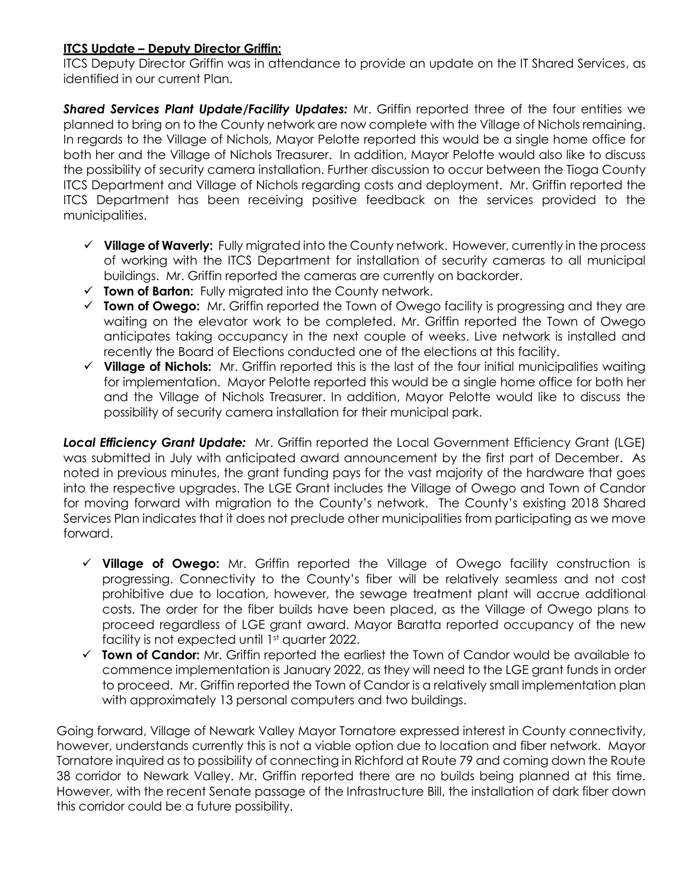## **ITCS Update – Deputy Director Griffin:**

ITCS Deputy Director Griffin was in attendance to provide an update on the IT Shared Services, as identified in our current Plan.

*Shared Services Plant Update/Facility Updates:* Mr. Griffin reported three of the four entities we planned to bring on to the County network are now complete with the Village of Nichols remaining. In regards to the Village of Nichols, Mayor Pelotte reported this would be a single home office for both her and the Village of Nichols Treasurer. In addition, Mayor Pelotte would also like to discuss the possibility of security camera installation. Further discussion to occur between the Tioga County ITCS Department and Village of Nichols regarding costs and deployment. Mr. Griffin reported the ITCS Department has been receiving positive feedback on the services provided to the municipalities.

- **Village of Waverly:** Fully migrated into the County network. However, currently in the process of working with the ITCS Department for installation of security cameras to all municipal buildings. Mr. Griffin reported the cameras are currently on backorder.
- **Town of Barton:** Fully migrated into the County network.
- **Town of Owego:** Mr. Griffin reported the Town of Owego facility is progressing and they are waiting on the elevator work to be completed. Mr. Griffin reported the Town of Owego anticipates taking occupancy in the next couple of weeks. Live network is installed and recently the Board of Elections conducted one of the elections at this facility.
- **Village of Nichols:** Mr. Griffin reported this is the last of the four initial municipalities waiting for implementation. Mayor Pelotte reported this would be a single home office for both her and the Village of Nichols Treasurer. In addition, Mayor Pelotte would like to discuss the possibility of security camera installation for their municipal park.

*Local Efficiency Grant Update:* Mr. Griffin reported the Local Government Efficiency Grant (LGE) was submitted in July with anticipated award announcement by the first part of December. As noted in previous minutes, the grant funding pays for the vast majority of the hardware that goes into the respective upgrades. The LGE Grant includes the Village of Owego and Town of Candor for moving forward with migration to the County's network. The County's existing 2018 Shared Services Plan indicates that it does not preclude other municipalities from participating as we move forward.

- **Village of Owego:** Mr. Griffin reported the Village of Owego facility construction is progressing. Connectivity to the County's fiber will be relatively seamless and not cost prohibitive due to location, however, the sewage treatment plant will accrue additional costs. The order for the fiber builds have been placed, as the Village of Owego plans to proceed regardless of LGE grant award. Mayor Baratta reported occupancy of the new facility is not expected until 1st quarter 2022.
- **Town of Candor:** Mr. Griffin reported the earliest the Town of Candor would be available to commence implementation is January 2022, as they will need to the LGE grant funds in order to proceed. Mr. Griffin reported the Town of Candor is a relatively small implementation plan with approximately 13 personal computers and two buildings.

Going forward, Village of Newark Valley Mayor Tornatore expressed interest in County connectivity, however, understands currently this is not a viable option due to location and fiber network. Mayor Tornatore inquired as to possibility of connecting in Richford at Route 79 and coming down the Route 38 corridor to Newark Valley. Mr. Griffin reported there are no builds being planned at this time. However, with the recent Senate passage of the Infrastructure Bill, the installation of dark fiber down this corridor could be a future possibility.